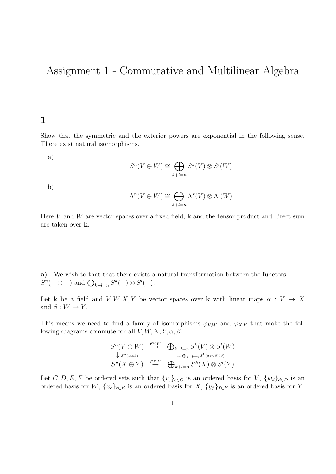# Assignment 1 - Commutative and Multilinear Algebra

## 1

Show that the symmetric and the exterior powers are exponential in the following sense. There exist natural isomorphisms.

a)

$$
S^n(V \oplus W) \cong \bigoplus_{k+l=n} S^k(V) \otimes S^l(W)
$$

b)

$$
\Lambda^n(V \oplus W) \cong \bigoplus_{k+l=n} \Lambda^k(V) \otimes \Lambda^l(W)
$$

Here  $V$  and  $W$  are vector spaces over a fixed field,  $\bf{k}$  and the tensor product and direct sum are taken over k.

a) We wish to that that there exists a natural transformation between the functors  $S^{n}(-\oplus -)$  and  $\bigoplus_{k+l=n} S^{k}(-) \otimes S^{l}(-)$ .

Let k be a field and  $V, W, X, Y$  be vector spaces over k with linear maps  $\alpha : V \to X$ and  $\beta: W \to Y$ .

This means we need to find a family of isomorphisms  $\varphi_{V,W}$  and  $\varphi_{X,Y}$  that make the following diagrams commute for all  $V, W, X, Y, \alpha, \beta$ .

$$
S^{n}(V \oplus W) \stackrel{\varphi_{V,W}}{\to} \bigoplus_{k+l=n} S^{k}(V) \otimes S^{l}(W)
$$
  
\n
$$
\downarrow s^{n_{(\alpha \oplus \beta)}} S^{n}(X \oplus Y) \stackrel{\varphi_{X,Y}}{\to} \bigoplus_{k+l=n} S^{k_{(\alpha) \otimes S^{l}(\beta)}}
$$

Let C, D, E, F be ordered sets such that  $\{v_c\}_{c \in C}$  is an ordered basis for V,  $\{w_d\}_{d \in D}$  is an ordered basis for W,  $\{x_e\}_{e \in E}$  is an ordered basis for X,  $\{y_f\}_{f \in F}$  is an ordered basis for Y.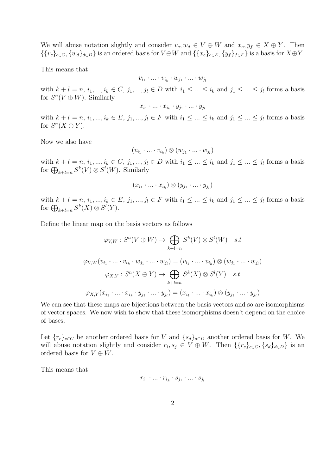We will abuse notation slightly and consider  $v_c, w_d \in V \oplus W$  and  $x_e, y_f \in X \oplus Y$ . Then  ${\{v_c\}_{c\in C}, \{w_d\}_{d\in D}\}\$  is an ordered basis for  $V\oplus W$  and  ${\{x_e\}_{e\in E}, \{y_f\}_{f\in F}\}\$  is a basis for  $X\oplus Y$ .

This means that

$$
v_{i_1}\cdot\ldots\cdot v_{i_k}\cdot w_{j_1}\cdot\ldots\cdot w_{j_l}
$$

with  $k + l = n, i_1, ..., i_k \in C, j_1, ..., j_l \in D$  with  $i_1 \leq ... \leq i_k$  and  $j_1 \leq ... \leq j_l$  forms a basis for  $S^n(V \oplus W)$ . Similarly

$$
x_{i_1}\cdot\ldots\cdot x_{i_k}\cdot y_{j_1}\cdot\ldots\cdot y_{j_l}
$$

with  $k + l = n, i_1, ..., i_k \in E, j_1, ..., j_l \in F$  with  $i_1 \leq ... \leq i_k$  and  $j_1 \leq ... \leq j_l$  forms a basis for  $S^n(X \oplus Y)$ .

Now we also have

$$
(v_{i_1} \cdot \ldots \cdot v_{i_k}) \otimes (w_{j_1} \cdot \ldots \cdot w_{j_l})
$$

with  $k + l = n, i_1, ..., i_k \in C, j_1, ..., j_l \in D$  with  $i_1 \leq ... \leq i_k$  and  $j_1 \leq ... \leq j_l$  forms a basis for  $\bigoplus_{k+l=n} S^k(V) \otimes S^l(W)$ . Similarly

$$
(x_{i_1} \cdot \ldots \cdot x_{i_k}) \otimes (y_{j_1} \cdot \ldots \cdot y_{j_l})
$$

with  $k + l = n, i_1, ..., i_k \in E, j_1, ..., j_l \in F$  with  $i_1 \leq ... \leq i_k$  and  $j_1 \leq ... \leq j_l$  forms a basis for  $\bigoplus_{k+l=n} S^k(X) \otimes S^l(Y)$ .

Define the linear map on the basis vectors as follows

$$
\varphi_{V,W}: S^n(V \oplus W) \to \bigoplus_{k+l=n} S^k(V) \otimes S^l(W) \quad s.t
$$
  

$$
\varphi_{V,W}(v_{i_1} \cdot \ldots \cdot v_{i_k} \cdot w_{j_1} \cdot \ldots \cdot w_{j_l}) = (v_{i_1} \cdot \ldots \cdot v_{i_k}) \otimes (w_{j_1} \cdot \ldots \cdot w_{j_l})
$$
  

$$
\varphi_{X,Y}: S^n(X \oplus Y) \to \bigoplus_{k+l=n} S^k(X) \otimes S^l(Y) \quad s.t
$$
  

$$
\varphi_{X,Y}(x_{i_1} \cdot \ldots \cdot x_{i_k} \cdot y_{j_1} \cdot \ldots \cdot y_{j_l}) = (x_{i_1} \cdot \ldots \cdot x_{i_k}) \otimes (y_{j_1} \cdot \ldots \cdot y_{j_l})
$$

We can see that these maps are bijections between the basis vectors and so are isomorphisms of vector spaces. We now wish to show that these isomorphisms doesn't depend on the choice of bases.

Let  ${r_c}_{c \in C}$  be another ordered basis for V and  ${s_d}_{d \in D}$  another ordered basis for W. We will abuse notation slightly and consider  $r_i, s_j \in V \oplus W$ . Then  $\{\{r_c\}_{c \in C}, \{s_d\}_{d \in D}\}\$ is an ordered basis for  $V \oplus W$ .

This means that

$$
r_{i_1}\cdot\ldots\cdot r_{i_k}\cdot s_{j_1}\cdot\ldots\cdot s_{j_l}
$$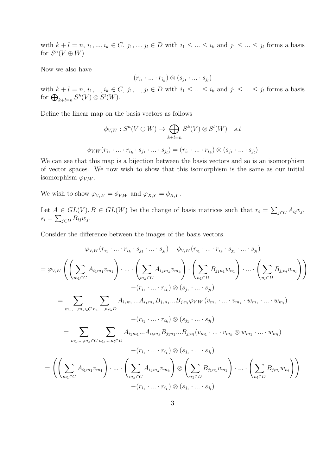with  $k + l = n, i_1, ..., i_k \in C, j_1, ..., j_l \in D$  with  $i_1 \leq ... \leq i_k$  and  $j_1 \leq ... \leq j_l$  forms a basis for  $S^n(V \oplus W)$ .

Now we also have

$$
(r_{i_1}\cdot\ldots\cdot r_{i_k})\otimes(s_{j_1}\cdot\ldots\cdot s_{j_l})
$$

with  $k + l = n, i_1, ..., i_k \in C, j_1, ..., j_l \in D$  with  $i_1 \leq ... \leq i_k$  and  $j_1 \leq ... \leq j_l$  forms a basis for  $\bigoplus_{k+l=n} S^k(V) \otimes S^l(W)$ .

Define the linear map on the basis vectors as follows

$$
\phi_{V,W}: S^n(V \oplus W) \to \bigoplus_{k+l=n} S^k(V) \otimes S^l(W) \quad s.t
$$
  

$$
\phi_{V,W}(r_{i_1} \cdot \ldots \cdot r_{i_k} \cdot s_{j_1} \cdot \ldots \cdot s_{j_l}) = (r_{i_1} \cdot \ldots \cdot r_{i_k}) \otimes (s_{j_1} \cdot \ldots \cdot s_{j_l})
$$

We can see that this map is a bijection between the basis vectors and so is an isomorphism of vector spaces. We now wish to show that this isomorphism is the same as our initial isomorphism  $\varphi_{V,W}$ .

We wish to show  $\varphi_{V,W} = \phi_{V,W}$  and  $\varphi_{X,Y} = \phi_{X,Y}$ .

Let  $A \in GL(V), B \in GL(W)$  be the change of basis matrices such that  $r_i = \sum_{j \in C} A_{ij} v_j$ ,  $s_i = \sum_{j \in D} B_{ij} w_j.$ 

Consider the difference between the images of the basis vectors.

$$
\varphi_{V,W}(r_{i_1} \cdot \ldots \cdot r_{i_k} \cdot s_{j_1} \cdot \ldots \cdot s_{j_l}) - \phi_{V,W}(r_{i_1} \cdot \ldots \cdot r_{i_k} \cdot s_{j_1} \cdot \ldots \cdot s_{j_l})
$$
\n
$$
= \varphi_{V,W}\left(\left(\sum_{m_1 \in C} A_{i_1m_1}v_{m_1}\right) \cdot \ldots \cdot \left(\sum_{m_k \in C} A_{i_km_k}v_{m_k}\right) \cdot \left(\sum_{n_1 \in D} B_{j_1n_1}w_{n_1}\right) \cdot \ldots \cdot \left(\sum_{n_l \in D} B_{j_ln_l}w_{n_l}\right)\right)
$$
\n
$$
- (r_{i_1} \cdot \ldots \cdot r_{i_k}) \otimes (s_{j_1} \cdot \ldots \cdot s_{j_l})
$$
\n
$$
= \sum_{m_1, \ldots, m_k \in C} \sum_{n_1, \ldots, n_l \in D} A_{i_1m_1}...A_{i_km_k}B_{j_1n_1}...B_{j_ln_l}\varphi_{V,W}(v_{m_1} \cdot \ldots \cdot v_{m_k} \cdot w_{m_1} \cdot \ldots \cdot w_{m_l})
$$
\n
$$
- (r_{i_1} \cdot \ldots \cdot r_{i_k}) \otimes (s_{j_1} \cdot \ldots \cdot s_{j_l})
$$
\n
$$
= \sum_{m_1, \ldots, m_k \in C} \sum_{n_1, \ldots, n_l \in D} A_{i_1m_1}...A_{i_km_k}B_{j_1n_1}...B_{j_ln_l}(v_{m_1} \cdot \ldots \cdot v_{m_k} \otimes w_{m_1} \cdot \ldots \cdot w_{m_l})
$$
\n
$$
- (r_{i_1} \cdot \ldots \cdot r_{i_k}) \otimes (s_{j_1} \cdot \ldots \cdot s_{j_l})
$$
\n
$$
= \left(\left(\sum_{m_1 \in C} A_{i_1m_1}v_{m_1}\right) \cdot \ldots \cdot \left(\sum_{m_k \in C} A_{i_km_k}v_{m_k}\right) \otimes \left(\sum_{n_1 \in D} B_{j_1n_1}w_{n_1}\right) \cdot \ldots \cdot \left(\sum_{n_l \in D} B_{j_ln_l}w_{
$$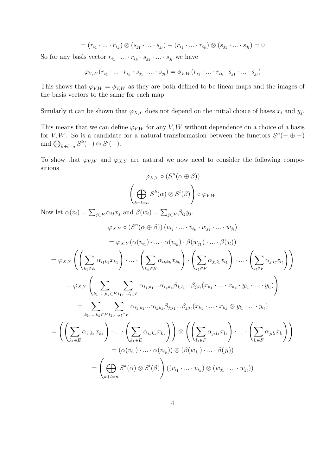$$
= (r_{i_1} \cdot \ldots \cdot r_{i_k}) \otimes (s_{j_1} \cdot \ldots \cdot s_{j_l}) - (r_{i_1} \cdot \ldots \cdot r_{i_k}) \otimes (s_{j_1} \cdot \ldots \cdot s_{j_l}) = 0
$$

So for any basis vector  $r_{i_1} \cdot ... \cdot r_{i_k} \cdot s_{j_1} \cdot ... \cdot s_{j_l}$  we have

$$
\varphi_{V,W}(r_{i_1}\cdot\ldots\cdot r_{i_k}\cdot s_{j_1}\cdot\ldots\cdot s_{j_l})=\phi_{V,W}(r_{i_1}\cdot\ldots\cdot r_{i_k}\cdot s_{j_1}\cdot\ldots\cdot s_{j_l})
$$

This shows that  $\varphi_{V,W} = \varphi_{V,W}$  as they are both defined to be linear maps and the images of the basis vectors to the same for each map.

Similarly it can be shown that  $\varphi_{X,Y}$  does not depend on the initial choice of bases  $x_i$  and  $y_j$ .

This means that we can define  $\varphi_{V,W}$  for any V, W without dependence on a choice of a basis for V, W. So is a candidate for a natural transformation between the functors  $S^{n}(-\oplus -)$ and  $\bigoplus_{k+l=n} S^k(-) \otimes S^l(-)$ .

To show that  $\varphi_{V,W}$  and  $\varphi_{X,Y}$  are natural we now need to consider the following compositions

$$
\varphi_{X,Y} \circ (S^n(\alpha \oplus \beta))
$$

$$
\left(\bigoplus_{k+l=n} S^k(\alpha) \otimes S^l(\beta)\right) \circ \varphi_{V,W}
$$

Now let  $\alpha(v_i) = \sum_{j \in E} \alpha_{ij} x_j$  and  $\beta(w_i) = \sum_{j \in F} \beta_{ij} y_j$ .

$$
\varphi_{X,Y} \circ (S^{n}(\alpha \oplus \beta))(v_{i_{1}} \cdot ... \cdot v_{i_{k}} \cdot w_{j_{1}} \cdot ... \cdot w_{j_{l}})
$$
\n
$$
= \varphi_{X,Y}(\alpha(v_{i_{1}}) \cdot ... \cdot \alpha(v_{i_{k}}) \cdot \beta(w_{j_{1}}) \cdot ... \cdot \beta(j_{l}))
$$
\n
$$
= \varphi_{X,Y} \left( \left( \sum_{k_{1} \in E} \alpha_{i_{1}k_{1}} x_{k_{1}} \right) \cdot ... \cdot \left( \sum_{k_{k} \in E} \alpha_{i_{k}k_{k}} x_{k_{k}} \right) \cdot \left( \sum_{l_{1} \in F} \alpha_{j_{1}l_{1}} x_{l_{1}} \right) \cdot ... \cdot \left( \sum_{l_{l} \in F} \alpha_{j_{l}l_{l}} x_{l_{l}} \right) \right)
$$
\n
$$
= \varphi_{X,Y} \left( \sum_{k_{1},...,k_{k} \in E} \sum_{l_{1},...,l_{l} \in F} \alpha_{i_{1},k_{1}} ... \alpha_{i_{k}k_{k}} \beta_{j_{1}l_{1}} ... \beta_{j_{l}l_{l}} (x_{k_{1}} \cdot ... \cdot x_{k_{k}} \cdot y_{l_{1}} \cdot ... \cdot y_{l_{l}}) \right)
$$
\n
$$
= \sum_{k_{1},...,k_{k} \in E} \sum_{l_{1},...,l_{l} \in F} \alpha_{i_{1},k_{1}} ... \alpha_{i_{k}k_{k}} \beta_{j_{1}l_{1}} ... \beta_{j_{l}l_{l}} (x_{k_{1}} \cdot ... \cdot x_{k_{k}} \otimes y_{l_{1}} \cdot ... \cdot y_{l_{l}})
$$
\n
$$
= \left( \left( \sum_{k_{1} \in E} \alpha_{i_{1}k_{1}} x_{k_{1}} \right) \cdot ... \cdot \left( \sum_{k_{k} \in E} \alpha_{i_{k}k_{k}} x_{k_{k}} \right) \right) \otimes \left( \left( \sum_{l_{1} \in F} \alpha_{j_{1}l_{1}} x_{l_{1}} \right) \cdot ... \cdot \left( \sum_{l_{l} \in F} \alpha_{j_{l}l_{l}} x_{l_{l}} \right) \right)
$$
\n
$$
= (\alpha(v_{i_{1}}) \cdot ... \cdot \alpha(v_{i_{
$$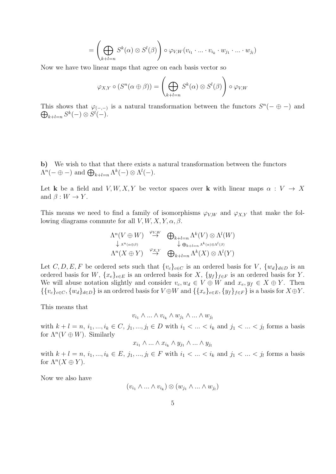$$
= \left(\bigoplus_{k+l=n} S^k(\alpha) \otimes S^l(\beta)\right) \circ \varphi_{V,W}(v_{i_1} \cdot \ldots \cdot v_{i_k} \cdot w_{j_1} \cdot \ldots \cdot w_{j_l})
$$

Now we have two linear maps that agree on each basis vector so

$$
\varphi_{X,Y} \circ (S^n(\alpha \oplus \beta)) = \left(\bigoplus_{k+l=n} S^k(\alpha) \otimes S^l(\beta)\right) \circ \varphi_{V,W}
$$

This shows that  $\varphi_{(-,-)}$  is a natural transformation between the functors  $S^{n}(-\oplus -)$  and  $\bigoplus_{k+l=n} S^k(-) \otimes S^l(-).$ 

b) We wish to that that there exists a natural transformation between the functors  $\Lambda^{n}(-\oplus -)$  and  $\bigoplus_{k+l=n} \Lambda^{k}(-) \otimes \Lambda^{l}(-)$ .

Let k be a field and  $V, W, X, Y$  be vector spaces over k with linear maps  $\alpha : V \to X$ and  $\beta: W \to Y$ .

This means we need to find a family of isomorphisms  $\varphi_{VW}$  and  $\varphi_{X,Y}$  that make the following diagrams commute for all  $V, W, X, Y, \alpha, \beta$ .

$$
\Lambda^n(V \oplus W) \stackrel{\varphi_{V,W}}{\to} \bigoplus_{k+l=n} \Lambda^k(V) \otimes \Lambda^l(W)
$$
  
\n
$$
\downarrow \Lambda^n(\alpha \oplus \beta) \qquad \downarrow \oplus_{k+l=n} \Lambda^k(\alpha) \otimes \Lambda^l(\beta)
$$
  
\n
$$
\Lambda^n(X \oplus Y) \stackrel{\varphi_{X,Y}}{\to} \bigoplus_{k+l=n} \Lambda^k(X) \otimes \Lambda^l(Y)
$$

Let C, D, E, F be ordered sets such that  $\{v_c\}_{c\in C}$  is an ordered basis for V,  $\{w_d\}_{d\in D}$  is an ordered basis for W,  $\{x_e\}_{e\in E}$  is an ordered basis for X,  $\{y_f\}_{f\in F}$  is an ordered basis for Y. We will abuse notation slightly and consider  $v_c, w_d \in V \oplus W$  and  $x_e, y_f \in X \oplus Y$ . Then  ${\{v_c\}_{c\in C}, \{w_d\}_{d\in D}\}\$  is an ordered basis for  $V\oplus W$  and  ${\{x_e\}_{e\in E}, \{y_f\}_{f\in F}\}\$  is a basis for  $X\oplus Y$ .

This means that

$$
v_{i_1} \wedge \ldots \wedge v_{i_k} \wedge w_{j_1} \wedge \ldots \wedge w_{j_l}
$$

with  $k + l = n, i_1, ..., i_k \in C, j_1, ..., j_l \in D$  with  $i_1 < ... < i_k$  and  $j_1 < ... < j_l$  forms a basis for  $\Lambda^n(V \oplus W)$ . Similarly

 $x_{i_1} \wedge ... \wedge x_{i_k} \wedge y_{j_1} \wedge ... \wedge y_{j_k}$ 

with  $k + l = n, i_1, ..., i_k \in E, j_1, ..., j_l \in F$  with  $i_1 < ... < i_k$  and  $j_1 < ... < j_l$  forms a basis for  $\Lambda^n(X \oplus Y)$ .

Now we also have

$$
(v_{i_1} \wedge \ldots \wedge v_{i_k}) \otimes (w_{j_1} \wedge \ldots \wedge w_{j_l})
$$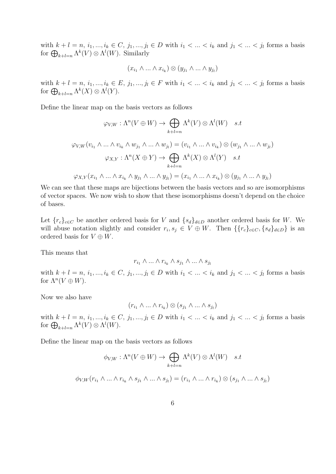with  $k + l = n, i_1, ..., i_k \in C, j_1, ..., j_l \in D$  with  $i_1 < ... < i_k$  and  $j_1 < ... < j_l$  forms a basis for  $\bigoplus_{k+l=n} \Lambda^k(V) \otimes \Lambda^l(W)$ . Similarly

$$
(x_{i_1} \wedge \ldots \wedge x_{i_k}) \otimes (y_{j_1} \wedge \ldots \wedge y_{j_l})
$$

with  $k + l = n, i_1, ..., i_k \in E, j_1, ..., j_l \in F$  with  $i_1 < ... < i_k$  and  $j_1 < ... < j_l$  forms a basis for  $\bigoplus_{k+l=n} \Lambda^k(X) \otimes \Lambda^l(Y)$ .

Define the linear map on the basis vectors as follows

$$
\varphi_{V,W} : \Lambda^n(V \oplus W) \to \bigoplus_{k+l=n} \Lambda^k(V) \otimes \Lambda^l(W) \quad s.t
$$
  

$$
\varphi_{V,W}(v_{i_1} \wedge \ldots \wedge v_{i_k} \wedge w_{j_1} \wedge \ldots \wedge w_{j_l}) = (v_{i_1} \wedge \ldots \wedge v_{i_k}) \otimes (w_{j_1} \wedge \ldots \wedge w_{j_l})
$$
  

$$
\varphi_{X,Y} : \Lambda^n(X \oplus Y) \to \bigoplus_{k+l=n} \Lambda^k(X) \otimes \Lambda^l(Y) \quad s.t
$$
  

$$
\varphi_{X,Y}(x_{i_1} \wedge \ldots \wedge x_{i_k} \wedge y_{j_1} \wedge \ldots \wedge y_{j_l}) = (x_{i_1} \wedge \ldots \wedge x_{i_k}) \otimes (y_{j_1} \wedge \ldots \wedge y_{j_l})
$$

We can see that these maps are bijections between the basis vectors and so are isomorphisms of vector spaces. We now wish to show that these isomorphisms doesn't depend on the choice of bases.

Let  ${r_c}_{c \in C}$  be another ordered basis for V and  ${s_d}_{d \in D}$  another ordered basis for W. We will abuse notation slightly and consider  $r_i, s_j \in V \oplus W$ . Then  $\{\{r_c\}_{c \in C}, \{s_d\}_{d \in D}\}\$ is an ordered basis for  $V \oplus W$ .

This means that

$$
r_{i_1}\wedge\ldots\wedge r_{i_k}\wedge s_{j_1}\wedge\ldots\wedge s_{j_l}
$$

with  $k + l = n, i_1, ..., i_k \in C, j_1, ..., j_l \in D$  with  $i_1 < ... < i_k$  and  $j_1 < ... < j_l$  forms a basis for  $\Lambda^n(V\oplus W)$ .

Now we also have

$$
(r_{i_1} \wedge \ldots \wedge r_{i_k}) \otimes (s_{j_1} \wedge \ldots \wedge s_{j_l})
$$

with  $k + l = n, i_1, ..., i_k \in C, j_1, ..., j_l \in D$  with  $i_1 < ... < i_k$  and  $j_1 < ... < j_l$  forms a basis for  $\bigoplus_{k+l=n} \Lambda^k(V) \otimes \Lambda^l(W)$ .

Define the linear map on the basis vectors as follows

$$
\phi_{V,W}: \Lambda^n(V \oplus W) \to \bigoplus_{k+l=n} \Lambda^k(V) \otimes \Lambda^l(W) \quad s.t
$$
  

$$
\phi_{V,W}(r_{i_1} \wedge \ldots \wedge r_{i_k} \wedge s_{j_1} \wedge \ldots \wedge s_{j_l}) = (r_{i_1} \wedge \ldots \wedge r_{i_k}) \otimes (s_{j_1} \wedge \ldots \wedge s_{j_l})
$$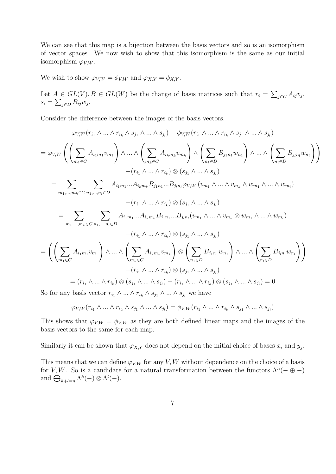We can see that this map is a bijection between the basis vectors and so is an isomorphism of vector spaces. We now wish to show that this isomorphism is the same as our initial isomorphism  $\varphi_{V,W}$ .

We wish to show  $\varphi_{V,W} = \phi_{V,W}$  and  $\varphi_{X,Y} = \phi_{X,Y}$ .

Let  $A \in GL(V), B \in GL(W)$  be the change of basis matrices such that  $r_i = \sum_{j \in C} A_{ij} v_j$ ,  $s_i = \sum_{j \in D} B_{ij} w_j.$ 

Consider the difference between the images of the basis vectors.

$$
\varphi_{V,W}(r_{i_1} \wedge \ldots \wedge r_{i_k} \wedge s_{j_1} \wedge \ldots \wedge s_{j_l}) - \phi_{V,W}(r_{i_1} \wedge \ldots \wedge r_{i_k} \wedge s_{j_1} \wedge \ldots \wedge s_{j_l})
$$
\n
$$
= \varphi_{V,W}\left(\left(\sum_{m_1 \in C} A_{i_1m_1}v_{m_1}\right) \wedge \ldots \wedge \left(\sum_{m_k \in C} A_{i_km_k}v_{m_k}\right) \wedge \left(\sum_{n_1 \in D} B_{j_1n_1}w_{n_1}\right) \wedge \ldots \wedge \left(\sum_{n_l \in D} B_{j_ln_l}w_{n_l}\right)\right)
$$
\n
$$
- (r_{i_1} \wedge \ldots \wedge r_{i_k}) \otimes (s_{j_1} \wedge \ldots \wedge s_{j_l})
$$
\n
$$
= \sum_{m_1, \ldots, m_k \in C} \sum_{n_1, \ldots, n_l \in D} A_{i_1m_1}...A_{i_km_k}B_{j_1n_1}...B_{j_ln_l} \varphi_{V,W}(v_{m_1} \wedge \ldots \wedge v_{m_k} \wedge w_{m_1} \wedge \ldots \wedge w_{m_l})
$$
\n
$$
- (r_{i_1} \wedge \ldots \wedge r_{i_k}) \otimes (s_{j_1} \wedge \ldots \wedge s_{j_l})
$$
\n
$$
= \sum_{m_1, \ldots, m_k \in C} \sum_{n_1, \ldots, n_l \in D} A_{i_1m_1}...A_{i_km_k}B_{j_1n_1}...B_{j_ln_l}(v_{m_1} \wedge \ldots \wedge v_{m_k} \otimes w_{m_1} \wedge \ldots \wedge w_{m_l})
$$
\n
$$
- (r_{i_1} \wedge \ldots \wedge r_{i_k}) \otimes (s_{j_1} \wedge \ldots \wedge s_{j_l})
$$
\n
$$
= \left(\left(\sum_{m_1 \in C} A_{i_1m_1}v_{m_1}\right) \wedge \ldots \wedge \left(\sum_{m_k \in C} A_{i_km_k}v_{m_k}\right) \otimes \left(\sum_{n_1 \in D} B_{j_
$$

So for any basis vector  $r_{i_1} \wedge ... \wedge r_{i_k} \wedge s_{j_1} \wedge ... \wedge s_{j_l}$  we have

$$
\varphi_{V,W}(r_{i_1} \wedge \ldots \wedge r_{i_k} \wedge s_{j_1} \wedge \ldots \wedge s_{j_l}) = \phi_{V,W}(r_{i_1} \wedge \ldots \wedge r_{i_k} \wedge s_{j_1} \wedge \ldots \wedge s_{j_l})
$$

This shows that  $\varphi_{V,W} = \varphi_{V,W}$  as they are both defined linear maps and the images of the basis vectors to the same for each map.

Similarly it can be shown that  $\varphi_{X,Y}$  does not depend on the initial choice of bases  $x_i$  and  $y_j$ .

This means that we can define  $\varphi_{V,W}$  for any V, W without dependence on the choice of a basis for V, W. So is a candidate for a natural transformation between the functors  $\Lambda^n(-\oplus -)$ and  $\bigoplus_{k+l=n} \Lambda^k(-) \otimes \Lambda^l(-)$ .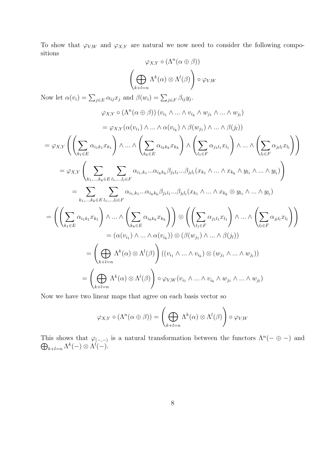To show that  $\varphi_{V,W}$  and  $\varphi_{X,Y}$  are natural we now need to consider the following compositions

$$
\varphi_{X,Y} \circ (\Lambda^n(\alpha \oplus \beta))
$$
\n
$$
\left(\bigoplus_{k+l=n} \Lambda^k(\alpha) \otimes \Lambda^l(\beta)\right) \circ \varphi_{V,W}
$$
\nNow let  $\alpha(v_i) = \sum_{j \in E} \alpha_{ij} x_j$  and  $\beta(w_i) = \sum_{j \in F} \beta_{ij} y_j$ .  
\n
$$
\varphi_{X,Y} \circ (\Lambda^n(\alpha \oplus \beta)) (v_{i_1} \wedge \ldots \wedge v_{i_k} \wedge w_{j_1} \wedge \ldots \wedge w_{j_l})
$$
\n
$$
= \varphi_{X,Y} (\alpha(v_{i_1}) \wedge \ldots \wedge \alpha(v_{i_k}) \wedge \beta(w_{j_1}) \wedge \ldots \wedge \beta(j_l))
$$
\n
$$
= \varphi_{X,Y} \left(\left(\sum_{k_1 \in E} \alpha_{i_1 k_1} x_{k_1}\right) \wedge \ldots \wedge \left(\sum_{k_k \in E} \alpha_{i_k k_k} x_{k_k}\right) \wedge \left(\sum_{l_1 \in F} \alpha_{j_1 l_1} x_{l_1}\right) \wedge \ldots \wedge \left(\sum_{l_l \in F} \alpha_{j_l l_l} x_{l_l}\right)\right)
$$
\n
$$
= \varphi_{X,Y} \left(\sum_{k_1, \ldots, k_k \in E} \sum_{l_1, \ldots, l_l \in F} \alpha_{i_1, k_1} \ldots \alpha_{i_k k_k} \beta_{j_1 l_1} \ldots \beta_{j_l l_l} (x_{k_1} \wedge \ldots \wedge x_{k_k} \wedge y_{l_1} \wedge \ldots \wedge y_{l_l})\right)
$$
\n
$$
= \sum_{k_1, \ldots, k_k \in E} \sum_{l_1, \ldots, l_l \in F} \alpha_{i_1, k_1} \ldots \alpha_{i_k k_k} \beta_{j_1 l_1} \ldots \beta_{j_l l_l} (x_{k_1} \wedge \ldots \wedge x_{k_k} \otimes y_{l_1} \wedge \ldots \wedge y_{l_l})
$$
\n
$$
= \left(\left(\sum_{k_1 \in E} \alpha_{i_1 k_1} x_{k_1}\right) \wedge \ldots \wedge \left(\sum_{k_k \in E} \alpha
$$

Now we have two linear maps that agree on each basis vector so

$$
\varphi_{X,Y} \circ (\Lambda^n(\alpha \oplus \beta)) = \left(\bigoplus_{k+l=n} \Lambda^k(\alpha) \otimes \Lambda^l(\beta)\right) \circ \varphi_{V,W}
$$

This shows that  $\varphi_{(-,-)}$  is a natural transformation between the functors  $\Lambda^n$  $\oplus$  $(- \oplus -)$  and  $\Lambda^{k+1=n} \Lambda^{k}(-) \otimes \Lambda^{l}(-).$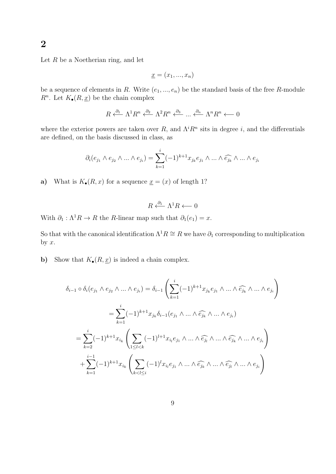Let  $R$  be a Noetherian ring, and let

$$
\underline{x} = (x_1, ..., x_n)
$$

be a sequence of elements in R. Write  $(e_1, ..., e_n)$  be the standard basis of the free R-module  $R^n$ . Let  $K_{\bullet}(R, \underline{x})$  be the chain complex

$$
R \stackrel{\partial_1}{\longleftarrow} \Lambda^1 R^n \stackrel{\partial_2}{\longleftarrow} \Lambda^2 R^n \stackrel{\partial_3}{\longleftarrow} \dots \stackrel{\partial_n}{\longleftarrow} \Lambda^n R^n \longleftarrow 0
$$

where the exterior powers are taken over R, and  $\Lambda^{i}R^{n}$  sits in degree i, and the differentials are defined, on the basis discussed in class, as

$$
\partial_i(e_{j_1} \wedge e_{j_2} \wedge \ldots \wedge e_{j_i}) = \sum_{k=1}^i (-1)^{k+1} x_{j_k} e_{j_1} \wedge \ldots \wedge \widehat{e_{j_k}} \wedge \ldots \wedge e_{j_i}
$$

a) What is  $K_{\bullet}(R, x)$  for a sequence  $\underline{x} = (x)$  of length 1?

$$
R \stackrel{\partial_1}{\longleftarrow} \Lambda^1 R \longleftarrow 0
$$

With  $\partial_1 : \Lambda^1 R \to R$  the R-linear map such that  $\partial_1(e_1) = x$ .

So that with the canonical identification  $\Lambda^1 R \cong R$  we have  $\partial_1$  corresponding to multiplication by  $x$ .

b) Show that  $K_{\bullet}(R, \underline{x})$  is indeed a chain complex.

$$
\delta_{i-1} \circ \delta_i(e_{j_1} \wedge e_{j_2} \wedge \ldots \wedge e_{j_i}) = \delta_{i-1} \left( \sum_{k=1}^i (-1)^{k+1} x_{j_k} e_{j_1} \wedge \ldots \wedge \widehat{e_{j_k}} \wedge \ldots \wedge e_{j_i} \right)
$$
  
\n
$$
= \sum_{k=1}^i (-1)^{k+1} x_{j_k} \delta_{i-1}(e_{j_1} \wedge \ldots \wedge \widehat{e_{j_k}} \wedge \ldots \wedge e_{j_i})
$$
  
\n
$$
= \sum_{k=2}^i (-1)^{k+1} x_{i_k} \left( \sum_{1 \leq l < k} (-1)^{l+1} x_{i_l} e_{j_1} \wedge \ldots \wedge \widehat{e_{j_l}} \wedge \ldots \wedge \widehat{e_{j_k}} \wedge \ldots \wedge e_{j_i} \right)
$$
  
\n
$$
+ \sum_{k=1}^{i-1} (-1)^{k+1} x_{i_k} \left( \sum_{k < l \leq i} (-1)^l x_{i_l} e_{j_1} \wedge \ldots \wedge \widehat{e_{j_k}} \wedge \ldots \wedge \widehat{e_{j_l}} \wedge \ldots \wedge e_{j_i} \right)
$$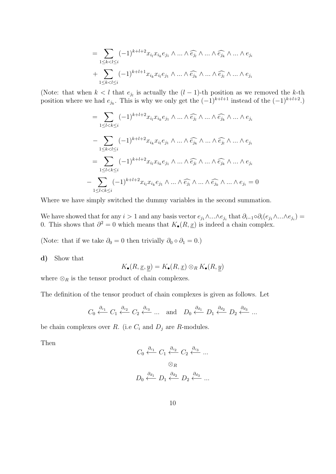$$
=\sum_{1\leq k
$$

(Note: that when  $k < l$  that  $e_{j_l}$  is actually the  $(l-1)$ -th position as we removed the k-th position where we had  $e_{j_k}$ . This is why we only get the  $(-1)^{k+l+1}$  instead of the  $(-1)^{k+l+2}$ .)

$$
= \sum_{1 \leq l < k \leq i} (-1)^{k+l+2} x_{i_l} x_{i_k} e_{j_1} \wedge \ldots \wedge \widehat{e_{j_l}} \wedge \ldots \wedge \widehat{e_{j_k}} \wedge \ldots \wedge e_{j_i}
$$
\n
$$
- \sum_{1 \leq k < l \leq i} (-1)^{k+l+2} x_{i_k} x_{i_l} e_{j_1} \wedge \ldots \wedge \widehat{e_{j_k}} \wedge \ldots \wedge \widehat{e_{j_l}} \wedge \ldots \wedge e_{j_i}
$$
\n
$$
= \sum_{1 \leq l < k \leq i} (-1)^{k+l+2} x_{i_l} x_{i_k} e_{j_1} \wedge \ldots \wedge \widehat{e_{j_l}} \wedge \ldots \wedge \widehat{e_{j_k}} \wedge \ldots \wedge e_{j_i}
$$
\n
$$
- \sum_{1 \leq l < k \leq i} (-1)^{k+l+2} x_{i_l} x_{i_k} e_{j_1} \wedge \ldots \wedge \widehat{e_{j_l}} \wedge \ldots \wedge \widehat{e_{j_k}} \wedge \ldots \wedge e_{j_i} = 0
$$

Where we have simply switched the dummy variables in the second summation.

We have showed that for any  $i>1$  and any basis vector  $e_{j1} \wedge ... \wedge e_{j_i}$  that  $\partial_{i-1} \circ \partial_i (e_{j1} \wedge ... \wedge e_{j_i}) =$ 0. This shows that  $\partial^2 = 0$  which means that  $K_{\bullet}(R, \underline{x})$  is indeed a chain complex.

(Note: that if we take  $\partial_0 = 0$  then trivially  $\partial_0 \circ \partial_1 = 0$ .)

d) Show that

$$
K_{\bullet}(R, \underline{x}, y) = K_{\bullet}(R, \underline{x}) \otimes_R K_{\bullet}(R, y)
$$

where  $\otimes_R$  is the tensor product of chain complexes.

The definition of the tensor product of chain complexes is given as follows. Let

$$
C_0 \xleftarrow{\partial_{c_1}} C_1 \xleftarrow{\partial_{c_2}} C_2 \xleftarrow{\partial_{c_3}} \dots
$$
 and  $D_0 \xleftarrow{\partial_{d_1}} D_1 \xleftarrow{\partial_{d_2}} D_2 \xleftarrow{\partial_{d_3}} \dots$ 

be chain complexes over R. (i.e  $C_i$  and  $D_j$  are R-modules.

Then

$$
C_0 \stackrel{\partial_{c_1}}{\longleftarrow} C_1 \stackrel{\partial_{c_2}}{\longleftarrow} C_2 \stackrel{\partial_{c_3}}{\longleftarrow} \dots
$$

$$
\otimes_R
$$

$$
D_0 \stackrel{\partial_{d_1}}{\longleftarrow} D_1 \stackrel{\partial_{d_2}}{\longleftarrow} D_2 \stackrel{\partial_{d_3}}{\longleftarrow} \dots
$$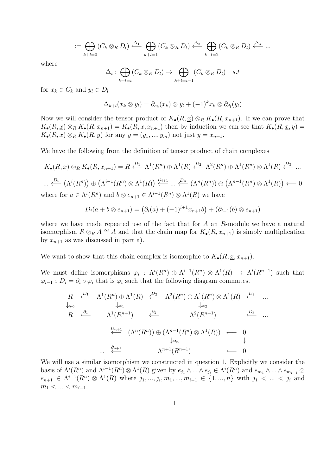$$
:= \bigoplus_{k+l=0} (C_k \otimes_R D_l) \stackrel{\Delta_1}{\longleftarrow} \bigoplus_{k+l=1} (C_k \otimes_R D_l) \stackrel{\Delta_2}{\longleftarrow} \bigoplus_{k+l=2} (C_k \otimes_R D_l) \stackrel{\Delta_3}{\longleftarrow} \dots
$$

where

$$
\Delta_i: \bigoplus_{k+l=i} (C_k \otimes_R D_l) \to \bigoplus_{k+l=i-1} (C_k \otimes_R D_l) \quad s.t
$$

for  $x_k \in C_k$  and  $y_l \in D_l$ 

$$
\Delta_{k+l}(x_k \otimes y_l) = \partial_{c_k}(x_k) \otimes y_l + (-1)^k x_k \otimes \partial_{d_l}(y_l)
$$

Now we will consider the tensor product of  $K_{\bullet}(R, \underline{x}) \otimes_R K_{\bullet}(R, x_{n+1})$ . If we can prove that  $K_{\bullet}(R, \underline{x}) \otimes_R K_{\bullet}(R, x_{n+1}) = K_{\bullet}(R, \overline{x}, x_{n+1})$  then by induction we can see that  $K_{\bullet}(R, \underline{x}, y) =$  $K_{\bullet}(R, \underline{x}) \otimes_R K_{\bullet}(R, \underline{y})$  for any  $\underline{y} = (y_1, ..., y_m)$  not just  $\underline{y} = x_{n+1}$ .

We have the following from the definition of tensor product of chain complexes

$$
K_{\bullet}(R, \underline{x}) \otimes_R K_{\bullet}(R, x_{n+1}) = R \xleftarrow{D_1} \Lambda^1(R^n) \oplus \Lambda^1(R) \xleftarrow{D_2} \Lambda^2(R^n) \oplus \Lambda^1(R^n) \otimes \Lambda^1(R) \xleftarrow{D_3} \dots
$$
  
 
$$
\dots \xleftarrow{D_i} (\Lambda^i(R^n)) \oplus (\Lambda^{i-1}(R^n) \otimes \Lambda^1(R)) \xleftarrow{D_{i+1}} \dots \xleftarrow{D_n} (\Lambda^n(R^n)) \oplus (\Lambda^{n-1}(R^n) \otimes \Lambda^1(R)) \xleftarrow{D_1} 0
$$
  
where for  $a \in \Lambda^i(R^n)$  and  $b \otimes e_{n+1} \in \Lambda^{i-1}(R^n) \otimes \Lambda^1(R)$  we have

$$
D_i(a + b \otimes e_{n+1}) = (\partial_i(a) + (-1)^{i+1} x_{n+1} b) + (\partial_{i-1}(b) \otimes e_{n+1})
$$

where we have made repeated use of the fact that for A an R-module we have a natural isomorphism  $R \otimes_R A \cong A$  and that the chain map for  $K_{\bullet}(R, x_{n+1})$  is simply multiplication by  $x_{n+1}$  as was discussed in part a).

We want to show that this chain complex is isomorphic to  $K_{\bullet}(R, x, x_{n+1})$ .

We must define isomorphisms  $\varphi_i$ :  $\Lambda^i(R^n) \oplus \Lambda^{i-1}(R^n) \otimes \Lambda^1(R) \to \Lambda^i(R^{n+1})$  such that  $\varphi_{i-1} \circ D_i = \partial_i \circ \varphi_i$  that is  $\varphi_i$  such that the following diagram commutes.

$$
R \xleftarrow{\mathcal{D}_1} \Lambda^1(R^n) \oplus \Lambda^1(R) \xleftarrow{\mathcal{D}_2} \Lambda^2(R^n) \oplus \Lambda^1(R^n) \otimes \Lambda^1(R) \xleftarrow{\mathcal{D}_3} \dots
$$
  
\n
$$
R \xleftarrow{\partial_1} \Lambda^1(R^{n+1}) \xleftarrow{\partial_2} \Lambda^2(R^{n+1}) \xleftarrow{\mathcal{D}_3} \dots
$$
  
\n
$$
\dots \xleftarrow{\mathcal{D}_{n+1}} (\Lambda^n(R^n)) \oplus (\Lambda^{n-1}(R^n) \otimes \Lambda^1(R)) \xleftarrow{\mathcal{D}_3} \dots
$$
  
\n
$$
\dots \xleftarrow{\partial_{n+1}} \Lambda^{n+1}(R^{n+1}) \xleftarrow{\mathcal{D}_1} \dots
$$

We will use a similar isomorphism we constructed in question 1. Explicitly we consider the basis of  $\Lambda^{i}(R^n)$  and  $\Lambda^{i-1}(R^n) \otimes \Lambda^1(R)$  given by  $e_{j_1} \wedge ... \wedge e_{j_i} \in \Lambda^{i}(R^n)$  and  $e_{m_1} \wedge ... \wedge e_{m_{i-1}} \otimes$  $e_{n+1} \in \Lambda^{i-1}(R^n) \otimes \Lambda^1(R)$  where  $j_1, ..., j_i, m_1, ..., m_{i-1} \in \{1, ..., n\}$  with  $j_1 < ... < j_i$  and  $m_1 < ... < m_{i-1}.$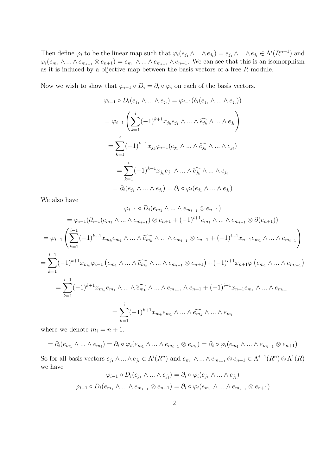Then define  $\varphi_i$  to be the linear map such that  $\varphi_i(e_{j_1} \wedge ... \wedge e_{j_i}) = e_{j_1} \wedge ... \wedge e_{j_i} \in \Lambda^i(R^{n+1})$  and  $\varphi_i(e_{m_1} \wedge ... \wedge e_{m_{i-1}} \otimes e_{n+1}) = e_{m_1} \wedge ... \wedge e_{m_{i-1}} \wedge e_{n+1}$ . We can see that this is an isomorphism as it is induced by a bijective map between the basis vectors of a free  $R$ -module.

Now we wish to show that  $\varphi_{i-1} \circ D_i = \partial_i \circ \varphi_i$  on each of the basis vectors.

$$
\varphi_{i-1} \circ D_i(e_{j_1} \wedge \ldots \wedge e_{j_i}) = \varphi_{i-1}(\delta_i(e_{j_1} \wedge \ldots \wedge e_{j_i}))
$$
  
\n
$$
= \varphi_{i-1} \left( \sum_{k=1}^i (-1)^{k+1} x_{j_k} e_{j_1} \wedge \ldots \wedge \widehat{e_{j_k}} \wedge \ldots \wedge e_{j_i} \right)
$$
  
\n
$$
= \sum_{k=1}^i (-1)^{k+1} x_{j_k} \varphi_{i-1}(e_{j_1} \wedge \ldots \wedge \widehat{e_{j_k}} \wedge \ldots \wedge e_{j_i})
$$
  
\n
$$
= \sum_{k=1}^i (-1)^{k+1} x_{j_k} e_{j_1} \wedge \ldots \wedge \widehat{e_{j_k}} \wedge \ldots \wedge e_{j_i}
$$
  
\n
$$
= \partial_i(e_{j_1} \wedge \ldots \wedge e_{j_i}) = \partial_i \circ \varphi_i(e_{j_1} \wedge \ldots \wedge e_{j_i})
$$

We also have

$$
\varphi_{i-1} \circ D_i(e_{m_1} \wedge \dots \wedge e_{m_{i-1}} \otimes e_{n+1})
$$
\n
$$
= \varphi_{i-1}(\partial_{i-1}(e_{m_1} \wedge \dots \wedge e_{m_{i-1}}) \otimes e_{n+1} + (-1)^{i+1}e_{m_1} \wedge \dots \wedge e_{m_{i-1}} \otimes \partial(e_{n+1}))
$$
\n
$$
= \varphi_{i-1} \left( \sum_{k=1}^{i-1} (-1)^{k+1} x_{m_k} e_{m_1} \wedge \dots \wedge \widehat{e_{m_k}} \wedge \dots \wedge e_{m_{i-1}} \otimes e_{n+1} + (-1)^{i+1} x_{n+1} e_{m_1} \wedge \dots \wedge e_{m_{i-1}} \right)
$$
\n
$$
= \sum_{k=1}^{i-1} (-1)^{k+1} x_{m_k} \varphi_{i-1} (e_{m_1} \wedge \dots \wedge \widehat{e_{m_k}} \wedge \dots \wedge e_{m_{i-1}} \otimes e_{n+1}) + (-1)^{i+1} x_{n+1} \varphi (e_{m_1} \wedge \dots \wedge e_{m_{i-1}})
$$
\n
$$
= \sum_{k=1}^{i-1} (-1)^{k+1} x_{m_k} e_{m_1} \wedge \dots \wedge \widehat{e_{m_k}} \wedge \dots \wedge e_{m_{i-1}} \wedge e_{n+1} + (-1)^{i+1} x_{n+1} e_{m_1} \wedge \dots \wedge e_{m_{i-1}}
$$
\n
$$
= \sum_{k=1}^{i} (-1)^{k+1} x_{m_k} e_{m_1} \wedge \dots \wedge \widehat{e_{m_k}} \wedge \dots \wedge e_{m_i}
$$

where we denote  $m_i = n + 1$ .

$$
= \partial_i(e_{m_1} \wedge \ldots \wedge e_{m_i}) = \partial_i \circ \varphi_i(e_{m_1} \wedge \ldots \wedge e_{m_{i-1}} \otimes e_{m_i}) = \partial_i \circ \varphi_i(e_{m_1} \wedge \ldots \wedge e_{m_{i-1}} \otimes e_{n+1})
$$

So for all basis vectors  $e_{j_1} \wedge ... \wedge e_{j_i} \in \Lambda^i(R^n)$  and  $e_{m_1} \wedge ... \wedge e_{m_{i-1}} \otimes e_{n+1} \in \Lambda^{i-1}(R^n) \otimes \Lambda^1(R)$ we have

$$
\varphi_{i-1} \circ D_i(e_{j_1} \wedge \ldots \wedge e_{j_i}) = \partial_i \circ \varphi_i(e_{j_1} \wedge \ldots \wedge e_{j_i})
$$

$$
\varphi_{i-1} \circ D_i(e_{m_1} \wedge \ldots \wedge e_{m_{i-1}} \otimes e_{n+1}) = \partial_i \circ \varphi_i(e_{m_1} \wedge \ldots \wedge e_{m_{i-1}} \otimes e_{n+1})
$$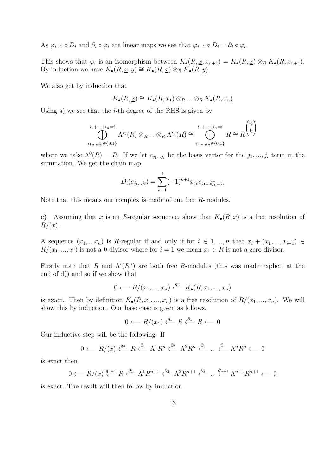As  $\varphi_{i-1} \circ D_i$  and  $\partial_i \circ \varphi_i$  are linear maps we see that  $\varphi_{i-1} \circ D_i = \partial_i \circ \varphi_i$ .

This shows that  $\varphi_i$  is an isomorphism between  $K_{\bullet}(R, \underline{x}, x_{n+1}) = K_{\bullet}(R, \underline{x}) \otimes_R K_{\bullet}(R, x_{n+1}).$ By induction we have  $K_{\bullet}(R, \underline{x}, y) \cong K_{\bullet}(R, \underline{x}) \otimes_R K_{\bullet}(R, y)$ .

We also get by induction that

$$
K_{\bullet}(R, \underline{x}) \cong K_{\bullet}(R, x_1) \otimes_R \dots \otimes_R K_{\bullet}(R, x_n)
$$

Using a) we see that the  $i$ -th degree of the RHS is given by

$$
\bigoplus_{i_1,\dots,i_n\in\{0,1\}}^{i_1+\dots+i_n=i} \Lambda^{i_1}(R)\otimes_R \dots \otimes_R \Lambda^{i_n}(R) \cong \bigoplus_{i_1,\dots,i_n\in\{0,1\}}^{i_1+\dots+i_n=i} R \cong R^{n \choose k}
$$

where we take  $\Lambda^{0}(R) = R$ . If we let  $e_{j_1...j_i}$  be the basis vector for the  $j_1,...,j_i$  term in the summation. We get the chain map

$$
D_i(e_{j_1...j_i}) = \sum_{k=1}^i (-1)^{k+1} x_{j_k} e_{j_1...j_k} e_{j_k...j_i}
$$

Note that this means our complex is made of out free R-modules.

c) Assuming that  $\underline{x}$  is an R-regular sequence, show that  $K_{\bullet}(R, \underline{x})$  is a free resolution of  $R/(\underline{x})$ .

A sequence  $(x_1, ... x_n)$  is R-regular if and only if for  $i \in 1, ..., n$  that  $x_i + (x_1, ..., x_{i-1}) \in$  $R/(x_1, ..., x_i)$  is not a 0 divisor where for  $i = 1$  we mean  $x_1 \in R$  is not a zero divisor.

Firstly note that R and  $\Lambda^{i}(R^{n})$  are both free R-modules (this was made explicit at the end of d)) and so if we show that

$$
0 \longleftarrow R/(x_1, ..., x_n) \xleftarrow{q_n} K_{\bullet}(R, x_1, ..., x_n)
$$

is exact. Then by definition  $K_{\bullet}(R, x_1, ..., x_n)$  is a free resolution of  $R/(x_1, ..., x_n)$ . We will show this by induction. Our base case is given as follows.

$$
0 \longleftarrow R/(x_1) \xleftarrow{q_1} R \xleftarrow{\partial_1} R \longleftarrow 0
$$

Our inductive step will be the following. If

$$
0 \longleftarrow R/(\underline{x}) \xleftarrow{q_n} R \xleftarrow{\partial_1} \Lambda^1 R^n \xleftarrow{\partial_2} \Lambda^2 R^n \xleftarrow{\partial_3} \dots \xleftarrow{\partial_n} \Lambda^n R^n \longleftarrow 0
$$

is exact then

$$
0 \longleftarrow R/(\underline{x}) \stackrel{q_{n+1}}{\longleftarrow} R \stackrel{\partial_1}{\longleftarrow} \Lambda^1 R^{n+1} \stackrel{\partial_2}{\longleftarrow} \Lambda^2 R^{n+1} \stackrel{\partial_3}{\longleftarrow} \dots \stackrel{\partial_{n+1}}{\longleftarrow} \Lambda^{n+1} R^{n+1} \longleftarrow 0
$$

is exact. The result will then follow by induction.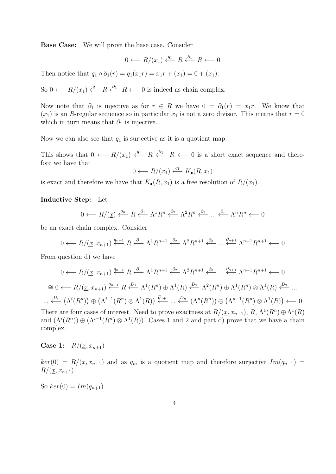Base Case: We will prove the base case. Consider

$$
0 \longleftarrow R/(x_1) \xleftarrow{q_1} R \xleftarrow{b_1} R \longleftarrow 0
$$

Then notice that  $q_1 \circ \partial_1(r) = q_1(x_1r) = x_1r + (x_1) = 0 + (x_1)$ .

So 0 ←  $R/(x_1) \stackrel{q_1}{\longleftarrow} R \stackrel{\partial_1}{\longleftarrow} R$  ← 0 is indeed as chain complex.

Now note that  $\partial_1$  is injective as for  $r \in R$  we have  $0 = \partial_1(r) = x_1r$ . We know that  $(x_1)$  is an R-regular sequence so in particular  $x_1$  is not a zero divisor. This means that  $r = 0$ which in turn means that  $\partial_1$  is injective.

Now we can also see that  $q_1$  is surjective as it is a quotient map.

This shows that  $0 \leftarrow R/(x_1) \stackrel{q_1}{\leftarrow} R \stackrel{\partial_1}{\leftarrow} R \leftarrow 0$  is a short exact sequence and therefore we have that

$$
0 \longleftarrow R/(x_1) \xleftarrow{q_1} K_{\bullet}(R, x_1)
$$

is exact and therefore we have that  $K_{\bullet}(R, x_1)$  is a free resolution of  $R/(x_1)$ .

### Inductive Step: Let

$$
0 \longleftarrow R/(\underline{x}) \xleftarrow{q_n} R \xleftarrow{\partial_1} \Lambda^1 R^n \xleftarrow{\partial_2} \Lambda^2 R^n \xleftarrow{\partial_3} \dots \xleftarrow{\partial_n} \Lambda^n R^n \longleftarrow 0
$$

be an exact chain complex. Consider

$$
0 \longleftarrow R/(\underline{x}, x_{n+1}) \stackrel{q_{n+1}}{\longleftarrow} R \stackrel{\partial_1}{\longleftarrow} \Lambda^1 R^{n+1} \stackrel{\partial_2}{\longleftarrow} \Lambda^2 R^{n+1} \stackrel{\partial_3}{\longleftarrow} \dots \stackrel{\partial_{n+1}}{\longleftarrow} \Lambda^{n+1} R^{n+1} \longleftarrow 0
$$

From question d) we have

$$
0 \leftarrow R/(\underline{x}, x_{n+1}) \stackrel{q_{n+1}}{\leftarrow} R \stackrel{\partial_1}{\leftarrow} \Lambda^1 R^{n+1} \stackrel{\partial_2}{\leftarrow} \Lambda^2 R^{n+1} \stackrel{\partial_3}{\leftarrow} \dots \stackrel{\partial_{n+1}}{\leftarrow} \Lambda^{n+1} R^{n+1} \leftarrow 0
$$
  
\n
$$
\cong 0 \leftarrow R/(\underline{x}, x_{n+1}) \stackrel{q_{n+1}}{\leftarrow} R \stackrel{D_1}{\leftarrow} \Lambda^1(R^n) \oplus \Lambda^1(R) \stackrel{D_2}{\leftarrow} \Lambda^2(R^n) \oplus \Lambda^1(R^n) \otimes \Lambda^1(R) \stackrel{D_3}{\leftarrow} \dots
$$
  
\n
$$
\dots \stackrel{D_i}{\leftarrow} (\Lambda^i(R^n)) \oplus (\Lambda^{i-1}(R^n) \otimes \Lambda^1(R)) \stackrel{D_{i+1}}{\leftarrow} \dots \stackrel{D_n}{\leftarrow} (\Lambda^n(R^n)) \oplus (\Lambda^{n-1}(R^n) \otimes \Lambda^1(R)) \leftarrow 0
$$

There are four cases of interest. Need to prove exactness at  $R/(\underline{x}, x_{n+1}), R, \Lambda^1(R^n) \oplus \Lambda^1(R)$ and  $(\Lambda^i(R^n)) \oplus (\Lambda^{i-1}(R^n) \otimes \Lambda^1(R))$ . Cases 1 and 2 and part d) prove that we have a chain complex.

**Case 1:**  $R/(x, x_{n+1})$ 

 $ker(0) = R/(\underline{x}, x_{n+1})$  and as  $q_m$  is a quotient map and therefore surjective  $Im(q_{n+1})$  $R/(\underline{x}, x_{n+1}).$ 

So  $ker(0) = Im(q_{n+1}).$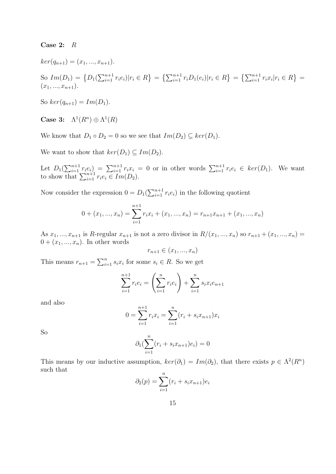#### Case 2: R

 $ker(q_{n+1}) = (x_1, ..., x_{n+1}).$ 

So 
$$
Im(D_1) = \{D_1(\sum_{i=1}^{n+1} r_i e_i) | r_i \in R\} = \{\sum_{i=1}^{n+1} r_i D_1(e_i) | r_i \in R\} = \{\sum_{i=1}^{n+1} r_i x_i | r_i \in R\} = (x_1, ..., x_{n+1}).
$$

So  $ker(q_{n+1}) = Im(D_1)$ .

Case 3:  $\Lambda^1(R^n) \oplus \Lambda^1(R)$ 

We know that  $D_1 \circ D_2 = 0$  so we see that  $Im(D_2) \subseteq ker(D_1)$ .

We want to show that  $ker(D_1) \subseteq Im(D_2)$ .

Let  $D_1(\sum_{i=1}^{n+1} r_i e_i) = \sum_{i=1}^{n+1} r_i x_i = 0$  or in other words  $\sum_{i=1}^{n+1} r_i e_i \in \text{ker}(D_1)$ . We want to show that  $\sum_{i=1}^{n+1} r_i e_i \in Im(D_2)$ .

Now consider the expression  $0 = D_1(\sum_{i=1}^{n+1} r_i e_i)$  in the following quotient

$$
0 + (x_1, ..., x_n) = \sum_{i=1}^{n+1} r_i x_i + (x_1, ..., x_n) = r_{n+1} x_{n+1} + (x_1, ..., x_n)
$$

As  $x_1, ..., x_{n+1}$  is R-regular  $x_{n+1}$  is not a zero divisor in  $R/(x_1, ..., x_n)$  so  $r_{n+1} + (x_1, ..., x_n) =$  $0 + (x_1, ..., x_n)$ . In other words

$$
r_{n+1} \in (x_1, \ldots, x_n)
$$

This means  $r_{n+1} = \sum_{i=1}^{n} s_i x_i$  for some  $s_i \in R$ . So we get

$$
\sum_{i=1}^{n+1} r_i e_i = \left(\sum_{i=1}^n r_i e_i\right) + \sum_{i=1}^n s_i x_i e_{n+1}
$$

and also

$$
0 = \sum_{i=1}^{n+1} r_i x_i = \sum_{i=1}^{n} (r_i + s_i x_{n+1}) x_i
$$

So

$$
\partial_1(\sum_{i=1}^n (r_i + s_i x_{n+1}) e_i) = 0
$$

This means by our inductive assumption,  $\ker(\partial_1) = Im(\partial_2)$ , that there exists  $p \in \Lambda^2(R^n)$ such that

$$
\partial_2(p) = \sum_{i=1}^n (r_i + s_i x_{n+1}) e_i
$$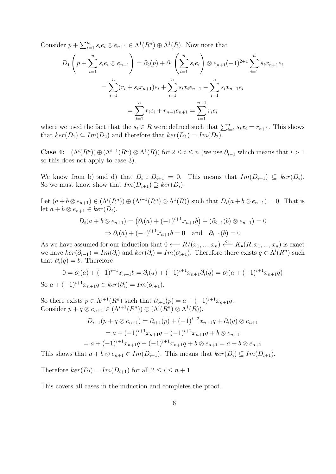Consider  $p + \sum_{i=1}^{n} s_i e_i \otimes e_{n+1} \in \Lambda^1(R^n) \oplus \Lambda^1(R)$ . Now note that

$$
D_1\left(p + \sum_{i=1}^n s_i e_i \otimes e_{n+1}\right) = \partial_2(p) + \partial_1\left(\sum_{i=1}^n s_i e_i\right) \otimes e_{n+1}(-1)^{2+1} \sum_{i=1}^n s_i x_{n+1} e_i
$$

$$
= \sum_{i=1}^n (r_i + s_i x_{n+1}) e_i + \sum_{i=1}^n s_i x_i e_{n+1} - \sum_{i=1}^n s_i x_{n+1} e_i
$$

$$
= \sum_{i=1}^n r_i e_i + r_{n+1} e_{n+1} = \sum_{i=1}^{n+1} r_i e_i
$$

where we used the fact that the  $s_i \in R$  were defined such that  $\sum_{i=1}^n s_i x_i = r_{n+1}$ . This shows that  $ker(D_1) \subseteq Im(D_2)$  and therefore that  $ker(D_1) = Im(D_2)$ .

**Case 4:**  $(\Lambda^i(R^n)) \oplus (\Lambda^{i-1}(R^n) \otimes \Lambda^1(R))$  for  $2 \leq i \leq n$  (we use  $\partial_{i-1}$  which means that  $i > 1$ so this does not apply to case 3).

We know from b) and d) that  $D_i \circ D_{i+1} = 0$ . This means that  $Im(D_{i+1}) \subseteq ker(D_i)$ . So we must know show that  $Im(D_{i+1}) \supseteq ker(D_i)$ .

Let  $(a+b\otimes e_{n+1})\in(\Lambda^{i}(R^n))\oplus(\Lambda^{i-1}(R^n)\otimes\Lambda^{1}(R))$  such that  $D_i(a+b\otimes e_{n+1})=0$ . That is let  $a + b \otimes e_{n+1} \in ker(D_i)$ .

$$
D_i(a + b \otimes e_{n+1}) = (\partial_i(a) + (-1)^{i+1} x_{n+1} b) + (\partial_{i-1}(b) \otimes e_{n+1}) = 0
$$
  
\n
$$
\Rightarrow \partial_i(a) + (-1)^{i+1} x_{n+1} b = 0 \text{ and } \partial_{i-1}(b) = 0
$$

As we have assumed for our induction that  $0 \longleftarrow R/(x_1, ..., x_n) \stackrel{q_n}{\longleftarrow} K_{\bullet}(R, x_1, ..., x_n)$  is exact we have  $ker(\partial_{i-1}) = Im(\partial_i)$  and  $ker(\partial_i) = Im(\partial_{i+1})$ . Therefore there exists  $q \in \Lambda^i(R^n)$  such that  $\partial_i(q) = b$ . Therefore

$$
0 = \partial_i(a) + (-1)^{i+1} x_{n+1} b = \partial_i(a) + (-1)^{i+1} x_{n+1} \partial_i(q) = \partial_i(a + (-1)^{i+1} x_{n+1} q)
$$
  
So  $a + (-1)^{i+1} x_{n+1} q \in \ker(\partial_i) = \text{Im}(\partial_{i+1}).$ 

So there exists  $p \in \Lambda^{i+1}(R^n)$  such that  $\partial_{i+1}(p) = a + (-1)^{i+1}x_{n+1}q$ . Consider  $p + q \otimes e_{n+1} \in (\Lambda^{i+1}(R^n)) \oplus (\Lambda^{i}(R^n) \otimes \Lambda^1(R)).$ 

$$
D_{i+1}(p+q \otimes e_{n+1}) = \partial_{i+1}(p) + (-1)^{i+2}x_{n+1}q + \partial_i(q) \otimes e_{n+1}
$$
  
=  $a + (-1)^{i+1}x_{n+1}q + (-1)^{i+2}x_{n+1}q + b \otimes e_{n+1}$   
=  $a + (-1)^{i+1}x_{n+1}q - (-1)^{i+1}x_{n+1}q + b \otimes e_{n+1} = a + b \otimes e_{n+1}$ 

This shows that  $a + b \otimes e_{n+1} \in Im(D_{i+1})$ . This means that  $ker(D_i) \subseteq Im(D_{i+1})$ .

Therefore  $ker(D_i) = Im(D_{i+1})$  for all  $2 \leq i \leq n+1$ 

This covers all cases in the induction and completes the proof.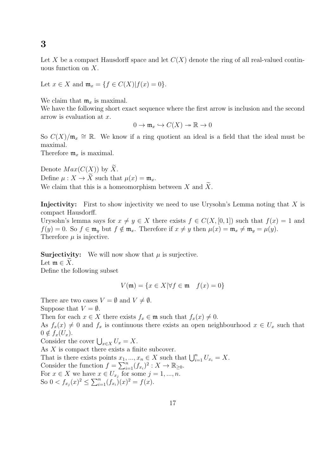Let X be a compact Hausdorff space and let  $C(X)$  denote the ring of all real-valued continuous function on X.

Let  $x \in X$  and  $\mathfrak{m}_x = \{f \in C(X)| f(x) = 0\}.$ 

We claim that  $\mathfrak{m}_x$  is maximal.

We have the following short exact sequence where the first arrow is inclusion and the second arrow is evaluation at x.

$$
0 \to \mathfrak{m}_x \hookrightarrow C(X) \to \mathbb{R} \to 0
$$

So  $C(X)/\mathfrak{m}_x \cong \mathbb{R}$ . We know if a ring quotient an ideal is a field that the ideal must be maximal.

Therefore  $\mathfrak{m}_x$  is maximal.

Denote  $Max(C(X))$  by  $\widetilde{X}$ . Define  $\mu: X \to \widetilde{X}$  such that  $\mu(x) = \mathfrak{m}_x$ . We claim that this is a homeomorphism between  $X$  and  $X$ .

Injectivity: First to show injectivity we need to use Urysohn's Lemma noting that X is compact Hausdorff.

Urysohn's lemma says for  $x \neq y \in X$  there exists  $f \in C(X, [0, 1])$  such that  $f(x) = 1$  and  $f(y) = 0$ . So  $f \in \mathfrak{m}_y$  but  $f \notin \mathfrak{m}_x$ . Therefore if  $x \neq y$  then  $\mu(x) = \mathfrak{m}_x \neq \mathfrak{m}_y = \mu(y)$ . Therefore  $\mu$  is injective.

**Surjectivity:** We will now show that  $\mu$  is surjective. Let  $\mathfrak{m} \in X$ . Define the following subset

$$
V(\mathfrak{m}) = \{ x \in X | \forall f \in \mathfrak{m} \quad f(x) = 0 \}
$$

There are two cases  $V = \emptyset$  and  $V \neq \emptyset$ . Suppose that  $V = \emptyset$ .

Then for each  $x \in X$  there exists  $f_x \in \mathfrak{m}$  such that  $f_x(x) \neq 0$ .

As  $f_x(x) \neq 0$  and  $f_x$  is continuous there exists an open neighbourhood  $x \in U_x$  such that  $0 \notin f_x(U_x)$ .

Consider the cover  $\bigcup_{x \in X} U_x = X$ .

As  $X$  is compact there exists a finite subcover.

That is there exists points  $x_1, ..., x_n \in X$  such that  $\bigcup_{i=1}^n U_{x_i} = X$ . Consider the function  $f = \sum_{i=1}^{n} (f_{x_i})^2 : X \to \mathbb{R}_{\geq 0}$ . For  $x \in X$  we have  $x \in U_{x_j}$  for some  $j = 1, ..., n$ . So  $0 < f_{x_j}(x)^2 \le \sum_{i=1}^n (f_{x_i})(x)^2 = f(x)$ .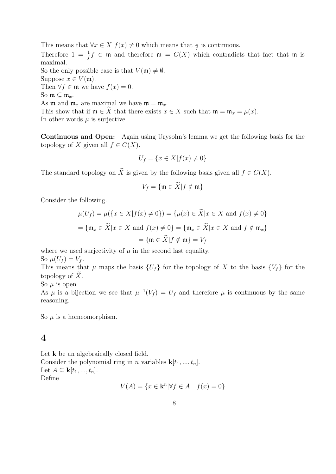This means that  $\forall x \in X$   $f(x) \neq 0$  which means that  $\frac{1}{f}$  is continuous. Therefore  $1 = \frac{1}{f}f \in \mathfrak{m}$  and therefore  $\mathfrak{m} = C(X)$  which contradicts that fact that  $\mathfrak{m}$  is maximal. So the only possible case is that  $V(\mathfrak{m}) \neq \emptyset$ . Suppose  $x \in V(\mathfrak{m})$ . Then  $\forall f \in \mathfrak{m}$  we have  $f(x) = 0$ . So  $\mathfrak{m} \subseteq \mathfrak{m}_x$ . As **m** and  $\mathfrak{m}_x$  are maximal we have  $\mathfrak{m} = \mathfrak{m}_x$ . This show that if  $\mathfrak{m} \in \widetilde{X}$  that there exists  $x \in X$  such that  $\mathfrak{m} = \mathfrak{m}_x = \mu(x)$ . In other words  $\mu$  is surjective.

Continuous and Open: Again using Urysohn's lemma we get the following basis for the topology of X given all  $f \in C(X)$ .

$$
U_f = \{ x \in X | f(x) \neq 0 \}
$$

The standard topology on  $\widetilde{X}$  is given by the following basis given all  $f \in C(X)$ .

$$
V_f = \{\mathfrak{m} \in \widetilde{X} | f \notin \mathfrak{m}\}
$$

Consider the following.

$$
\mu(U_f) = \mu(\{x \in X | f(x) \neq 0\}) = \{\mu(x) \in \widetilde{X} | x \in X \text{ and } f(x) \neq 0\}
$$

$$
= \{\mathfrak{m}_x \in \widetilde{X} | x \in X \text{ and } f(x) \neq 0\} = \{\mathfrak{m}_x \in \widetilde{X} | x \in X \text{ and } f \notin \mathfrak{m}_x\}
$$

$$
= \{\mathfrak{m} \in \widetilde{X} | f \notin \mathfrak{m}\} = V_f
$$

where we used surjectivity of  $\mu$  in the second last equality.

So  $\mu(U_f) = V_f$ .

This means that  $\mu$  maps the basis  $\{U_f\}$  for the topology of X to the basis  $\{V_f\}$  for the topology of  $\widetilde{X}$ .

So  $\mu$  is open.

As  $\mu$  is a bijection we see that  $\mu^{-1}(V_f) = U_f$  and therefore  $\mu$  is continuous by the same reasoning.

So  $\mu$  is a homeomorphism.

## 4

Let  $k$  be an algebraically closed field. Consider the polynomial ring in n variables  $\mathbf{k}[t_1, ..., t_n]$ . Let  $A \subseteq \mathbf{k}[t_1, ..., t_n].$ Define

$$
V(A) = \{ x \in \mathbf{k}^n | \forall f \in A \quad f(x) = 0 \}
$$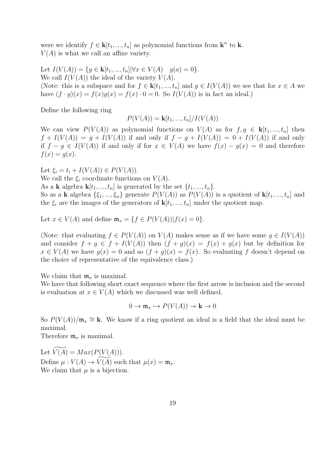were we identify  $f \in \mathbf{k}[t_1, ..., t_n]$  as polynomial functions from  $\mathbf{k}^n$  to  $\mathbf{k}$ .  $V(A)$  is what we call an affine variety.

Let  $I(V(A)) = \{ g \in \mathbf{k}[t_1, ..., t_n] | \forall x \in V(A) \mid g(a) = 0 \}.$ We call  $I(V(A))$  the ideal of the variety  $V(A)$ . (Note: this is a subspace and for  $f \in k[t_1, ..., t_n]$  and  $g \in I(V(A))$  we see that for  $x \in A$  we have  $(f \cdot g)(x) = f(x)g(x) = f(x) \cdot 0 = 0$ . So  $I(V(A))$  is in fact an ideal.)

Define the following ring

$$
P(V(A)) = \mathbf{k}[t_1, ..., t_n]/I(V(A))
$$

We can view  $P(V(A))$  as polynomial functions on  $V(A)$  as for  $f, g \in \mathbf{k}[t_1, ..., t_n]$  then  $f + I(V(A)) = g + I(V(A))$  if and only if  $f - g + I(V(A)) = 0 + I(V(A))$  if and only if  $f - g \in I(V(A))$  if and only if for  $x \in V(A)$  we have  $f(x) - g(x) = 0$  and therefore  $f(x) = g(x)$ .

Let  $\xi_i = t_i + I(V(A)) \in P(V(A)).$ 

We call the  $\xi_i$  coordinate functions on  $V(A)$ .

As a **k** algebra  $\mathbf{k}[t_1, ..., t_n]$  is generated by the set  $\{t_1, ..., t_n\}$ .

So as a k algebra  $\{\xi_1, ..., \xi_n\}$  generate  $P(V(A))$  as  $P(V(A))$  is a quotient of  $k[t_1, ..., t_n]$  and the  $\xi_i$  are the images of the generators of  $\mathbf{k}[t_1, ..., t_n]$  under the quotient map.

Let  $x \in V(A)$  and define  $\mathfrak{m}_x = \{f \in P(V(A)) | f(x) = 0\}.$ 

(Note: that evaluating  $f \in P(V(A))$  on  $V(A)$  makes sense as if we have some  $g \in I(V(A))$ and consider  $f + q \in f + I(V(A))$  then  $(f + q)(x) = f(x) + q(x)$  but by definition for  $x \in V(A)$  we have  $g(x) = 0$  and so  $(f + g)(x) = f(x)$ . So evaluating f doesn't depend on the choice of representative of the equivalence class.)

We claim that  $\mathfrak{m}_x$  is maximal.

We have that following short exact sequence where the first arrow is inclusion and the second is evaluation at  $x \in V(A)$  which we discussed was well defined.

$$
0 \to \mathfrak{m}_x \hookrightarrow P(V(A)) \to \mathbf{k} \to 0
$$

So  $P(V(A))/m_x \cong \mathbf{k}$ . We know if a ring quotient an ideal is a field that the ideal must be maximal.

Therefore  $\mathfrak{m}_x$  is maximal.

Let  $V(A) = Max(P(V(A))).$ Define  $\mu : V(A) \to V(A)$  such that  $\mu(x) = \mathfrak{m}_x$ . We claim that  $\mu$  is a bijection.